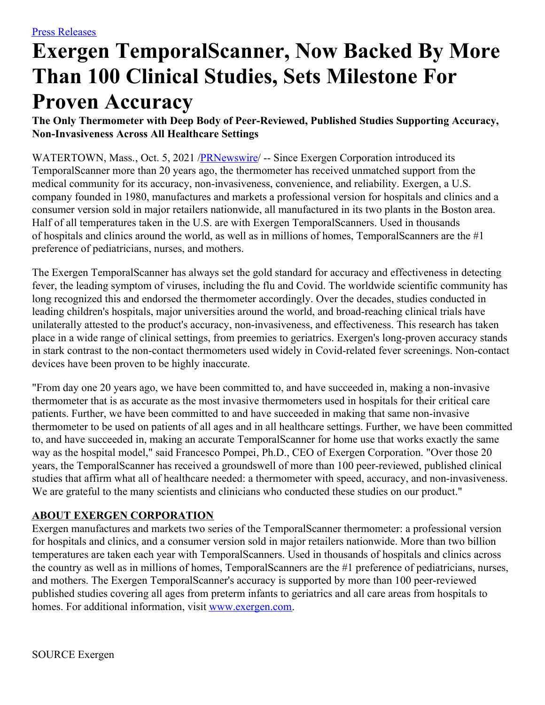## **Exergen TemporalScanner, Now Backed By More Than 100 Clinical Studies, Sets Milestone For Proven Accuracy**

**The Only Thermometer with Deep Body of Peer-Reviewed, Published Studies Supporting Accuracy, Non-Invasiveness Across All Healthcare Settings**

WATERTOWN, Mass., Oct. 5, 2021 [/PRNewswire](http://www.prnewswire.com/)/ -- Since Exergen Corporation introduced its TemporalScanner more than 20 years ago, the thermometer has received unmatched support from the medical community for its accuracy, non-invasiveness, convenience, and reliability. Exergen, a U.S. company founded in 1980, manufactures and markets a professional version for hospitals and clinics and a consumer version sold in major retailers nationwide, all manufactured in its two plants in the Boston area. Half of all temperatures taken in the U.S. are with Exergen TemporalScanners. Used in thousands of hospitals and clinics around the world, as well as in millions of homes, TemporalScanners are the #1 preference of pediatricians, nurses, and mothers.

The Exergen TemporalScanner has always set the gold standard for accuracy and effectiveness in detecting fever, the leading symptom of viruses, including the flu and Covid. The worldwide scientific community has long recognized this and endorsed the thermometer accordingly. Over the decades, studies conducted in leading children's hospitals, major universities around the world, and broad-reaching clinical trials have unilaterally attested to the product's accuracy, non-invasiveness, and effectiveness. This research has taken place in a wide range of clinical settings, from preemies to geriatrics. Exergen's long-proven accuracy stands in stark contrast to the non-contact thermometers used widely in Covid-related fever screenings. Non-contact devices have been proven to be highly inaccurate.

"From day one 20 years ago, we have been committed to, and have succeeded in, making a non-invasive thermometer that is as accurate as the most invasive thermometers used in hospitals for their critical care patients. Further, we have been committed to and have succeeded in making that same non-invasive thermometer to be used on patients of all ages and in all healthcare settings. Further, we have been committed to, and have succeeded in, making an accurate TemporalScanner for home use that works exactly the same way as the hospital model," said Francesco Pompei, Ph.D., CEO of Exergen Corporation. "Over those 20 years, the TemporalScanner has received a groundswell of more than 100 peer-reviewed, published clinical studies that affirm what all of healthcare needed: a thermometer with speed, accuracy, and non-invasiveness. We are grateful to the many scientists and clinicians who conducted these studies on our product."

## **ABOUT EXERGEN CORPORATION**

Exergen manufactures and markets two series of the TemporalScanner thermometer: a professional version for hospitals and clinics, and a consumer version sold in major retailers nationwide. More than two billion temperatures are taken each year with TemporalScanners. Used in thousands of hospitals and clinics across the country as well as in millions of homes, TemporalScanners are the #1 preference of pediatricians, nurses, and mothers. The Exergen TemporalScanner's accuracy is supported by more than 100 peer-reviewed published studies covering all ages from preterm infants to geriatrics and all care areas from hospitals to homes. For additional information, visit [www.exergen.com](https://c212.net/c/link/?t=0&l=en&o=3312188-1&h=883765632&u=http%3A%2F%2Fr20.rs6.net%2Ftn.jsp%3Ff%3D001zXhNOnyzmXuaFy3e6tYJwMAI4xZa6DgLn5VbXwoS2F1PSLY8Uqt1PBgKGxyACKnE5Jm5Jm_ibN0JPl0FtVWJ1TBr_xhWEZhOFpSlJ8qROlhawlaTOSgEORF-jr9Ojh_t5LnFPzICxp_WVW0S75pgOwNGAkj5-i59MEozoEPNjAM%3D%26c%3DgCjLlaMIw-KFuXEpRKFoFEF0QJ39gsRm2Fe9EvLVRyqKXukyjeQrPQ%3D%3D%26ch%3DyRIKvfKz3_ff1L5BxtNZSfR82OAdkjG-4pFrTUxG_kaFp-QV32QsFA%3D%3D&a=www.exergen.com).